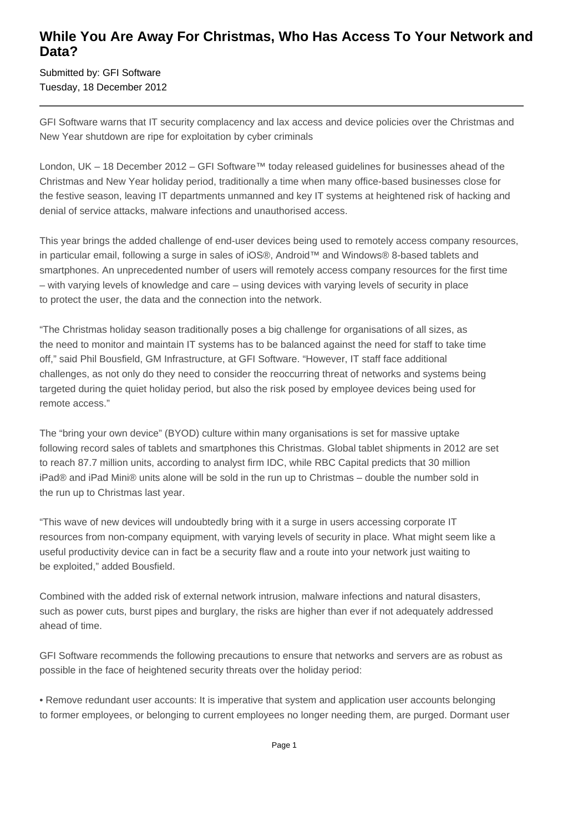## **While You Are Away For Christmas, Who Has Access To Your Network and Data?**

Submitted by: GFI Software Tuesday, 18 December 2012

GFI Software warns that IT security complacency and lax access and device policies over the Christmas and New Year shutdown are ripe for exploitation by cyber criminals

London, UK – 18 December 2012 – GFI Software™ today released guidelines for businesses ahead of the Christmas and New Year holiday period, traditionally a time when many office-based businesses close for the festive season, leaving IT departments unmanned and key IT systems at heightened risk of hacking and denial of service attacks, malware infections and unauthorised access.

This year brings the added challenge of end-user devices being used to remotely access company resources, in particular email, following a surge in sales of iOS®, Android™ and Windows® 8-based tablets and smartphones. An unprecedented number of users will remotely access company resources for the first time – with varying levels of knowledge and care – using devices with varying levels of security in place to protect the user, the data and the connection into the network.

"The Christmas holiday season traditionally poses a big challenge for organisations of all sizes, as the need to monitor and maintain IT systems has to be balanced against the need for staff to take time off," said Phil Bousfield, GM Infrastructure, at GFI Software. "However, IT staff face additional challenges, as not only do they need to consider the reoccurring threat of networks and systems being targeted during the quiet holiday period, but also the risk posed by employee devices being used for remote access."

The "bring your own device" (BYOD) culture within many organisations is set for massive uptake following record sales of tablets and smartphones this Christmas. Global tablet shipments in 2012 are set to reach 87.7 million units, according to analyst firm IDC, while RBC Capital predicts that 30 million iPad® and iPad Mini® units alone will be sold in the run up to Christmas – double the number sold in the run up to Christmas last year.

"This wave of new devices will undoubtedly bring with it a surge in users accessing corporate IT resources from non-company equipment, with varying levels of security in place. What might seem like a useful productivity device can in fact be a security flaw and a route into your network just waiting to be exploited," added Bousfield.

Combined with the added risk of external network intrusion, malware infections and natural disasters, such as power cuts, burst pipes and burglary, the risks are higher than ever if not adequately addressed ahead of time.

GFI Software recommends the following precautions to ensure that networks and servers are as robust as possible in the face of heightened security threats over the holiday period:

• Remove redundant user accounts: It is imperative that system and application user accounts belonging to former employees, or belonging to current employees no longer needing them, are purged. Dormant user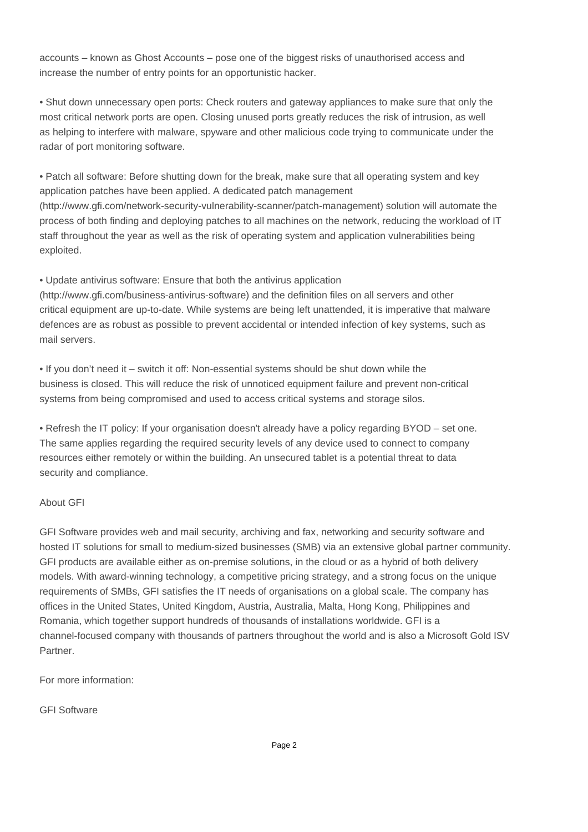accounts – known as Ghost Accounts – pose one of the biggest risks of unauthorised access and increase the number of entry points for an opportunistic hacker.

• Shut down unnecessary open ports: Check routers and gateway appliances to make sure that only the most critical network ports are open. Closing unused ports greatly reduces the risk of intrusion, as well as helping to interfere with malware, spyware and other malicious code trying to communicate under the radar of port monitoring software.

• Patch all software: Before shutting down for the break, make sure that all operating system and key application patches have been applied. A dedicated patch management (http://www.gfi.com/network-security-vulnerability-scanner/patch-management) solution will automate the process of both finding and deploying patches to all machines on the network, reducing the workload of IT staff throughout the year as well as the risk of operating system and application vulnerabilities being exploited.

• Update antivirus software: Ensure that both the antivirus application

(http://www.gfi.com/business-antivirus-software) and the definition files on all servers and other critical equipment are up-to-date. While systems are being left unattended, it is imperative that malware defences are as robust as possible to prevent accidental or intended infection of key systems, such as mail servers.

• If you don't need it – switch it off: Non-essential systems should be shut down while the business is closed. This will reduce the risk of unnoticed equipment failure and prevent non-critical systems from being compromised and used to access critical systems and storage silos.

• Refresh the IT policy: If your organisation doesn't already have a policy regarding BYOD – set one. The same applies regarding the required security levels of any device used to connect to company resources either remotely or within the building. An unsecured tablet is a potential threat to data security and compliance.

## About GFI

GFI Software provides web and mail security, archiving and fax, networking and security software and hosted IT solutions for small to medium-sized businesses (SMB) via an extensive global partner community. GFI products are available either as on-premise solutions, in the cloud or as a hybrid of both delivery models. With award-winning technology, a competitive pricing strategy, and a strong focus on the unique requirements of SMBs, GFI satisfies the IT needs of organisations on a global scale. The company has offices in the United States, United Kingdom, Austria, Australia, Malta, Hong Kong, Philippines and Romania, which together support hundreds of thousands of installations worldwide. GFI is a channel-focused company with thousands of partners throughout the world and is also a Microsoft Gold ISV Partner.

For more information:

GFI Software